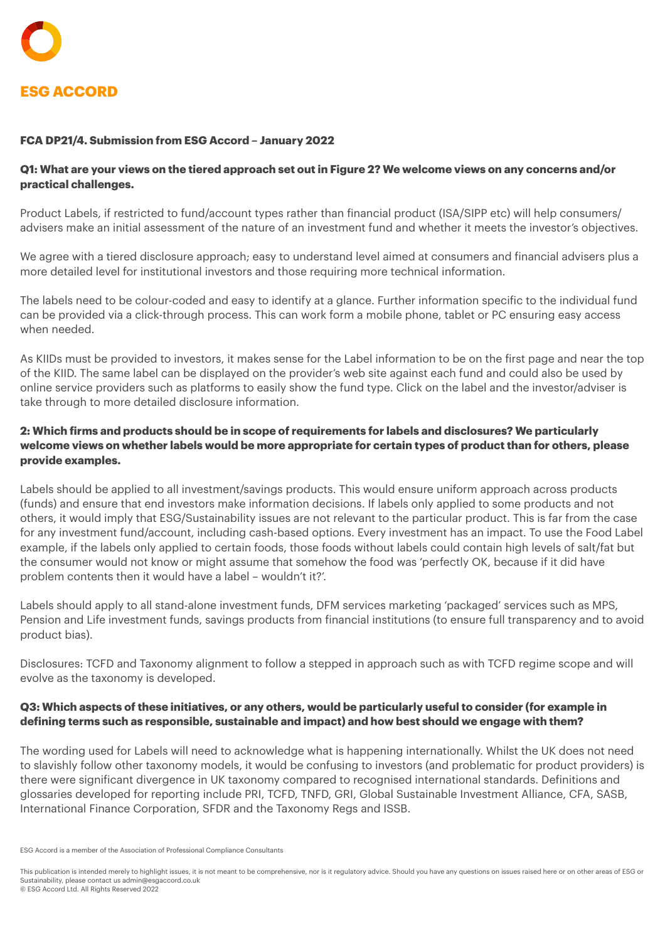#### **FCA DP21/4. Submission from ESG Accord – January 2022**

# **Q1: What are your views on the tiered approach set out in Figure 2? We welcome views on any concerns and/or practical challenges.**

Product Labels, if restricted to fund/account types rather than financial product (ISA/SIPP etc) will help consumers/ advisers make an initial assessment of the nature of an investment fund and whether it meets the investor's objectives.

We agree with a tiered disclosure approach; easy to understand level aimed at consumers and financial advisers plus a more detailed level for institutional investors and those requiring more technical information.

The labels need to be colour-coded and easy to identify at a glance. Further information specific to the individual fund can be provided via a click-through process. This can work form a mobile phone, tablet or PC ensuring easy access when needed.

As KIIDs must be provided to investors, it makes sense for the Label information to be on the first page and near the top of the KIID. The same label can be displayed on the provider's web site against each fund and could also be used by online service providers such as platforms to easily show the fund type. Click on the label and the investor/adviser is take through to more detailed disclosure information.

# **2: Which firms and products should be in scope of requirements for labels and disclosures? We particularly welcome views on whether labels would be more appropriate for certain types of product than for others, please provide examples.**

Labels should be applied to all investment/savings products. This would ensure uniform approach across products (funds) and ensure that end investors make information decisions. If labels only applied to some products and not others, it would imply that ESG/Sustainability issues are not relevant to the particular product. This is far from the case for any investment fund/account, including cash-based options. Every investment has an impact. To use the Food Label example, if the labels only applied to certain foods, those foods without labels could contain high levels of salt/fat but the consumer would not know or might assume that somehow the food was 'perfectly OK, because if it did have problem contents then it would have a label – wouldn't it?'.

Labels should apply to all stand-alone investment funds, DFM services marketing 'packaged' services such as MPS, Pension and Life investment funds, savings products from financial institutions (to ensure full transparency and to avoid product bias).

Disclosures: TCFD and Taxonomy alignment to follow a stepped in approach such as with TCFD regime scope and will evolve as the taxonomy is developed.

#### **Q3: Which aspects of these initiatives, or any others, would be particularly useful to consider (for example in defining terms such as responsible, sustainable and impact) and how best should we engage with them?**

The wording used for Labels will need to acknowledge what is happening internationally. Whilst the UK does not need to slavishly follow other taxonomy models, it would be confusing to investors (and problematic for product providers) is there were significant divergence in UK taxonomy compared to recognised international standards. Definitions and glossaries developed for reporting include PRI, TCFD, TNFD, GRI, Global Sustainable Investment Alliance, CFA, SASB, International Finance Corporation, SFDR and the Taxonomy Regs and ISSB.

This publication is intended merely to highlight issues, it is not meant to be comprehensive, nor is it regulatory advice. Should you have any questions on issues raised here or on other areas of ESG or Sustainability, please contact us [admin@esgaccord.co.uk](mailto:admin@esgaccord.co.uk)

© ESG Accord Ltd. All Rights Reserved 2022

ESG Accord is a member of the Association of Professional Compliance Consultants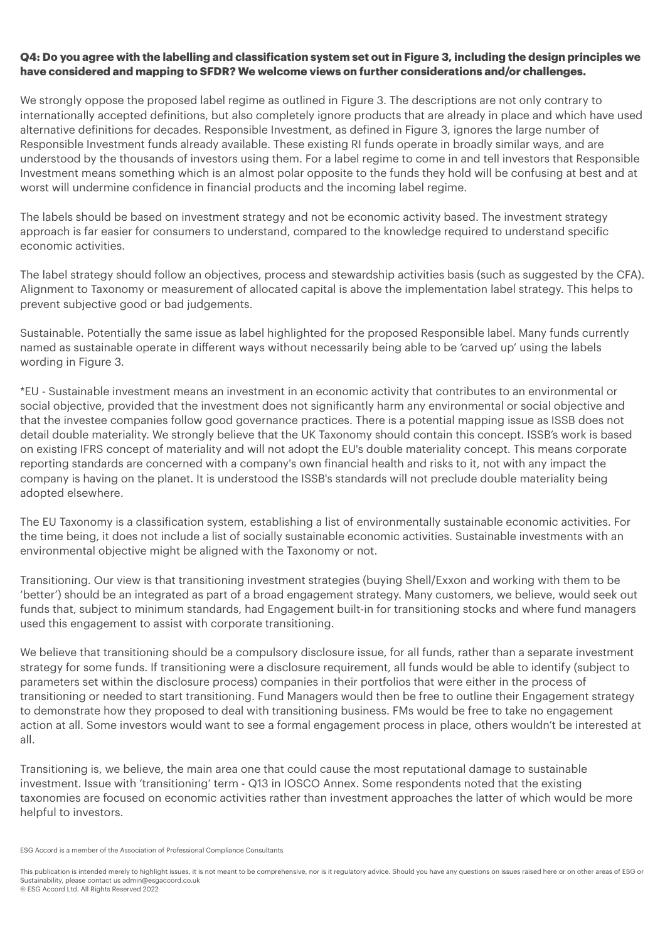#### **Q4: Do you agree with the labelling and classification system set out in Figure 3, including the design principles we have considered and mapping to SFDR? We welcome views on further considerations and/or challenges.**

We strongly oppose the proposed label regime as outlined in Figure 3. The descriptions are not only contrary to internationally accepted definitions, but also completely ignore products that are already in place and which have used alternative definitions for decades. Responsible Investment, as defined in Figure 3, ignores the large number of Responsible Investment funds already available. These existing RI funds operate in broadly similar ways, and are understood by the thousands of investors using them. For a label regime to come in and tell investors that Responsible Investment means something which is an almost polar opposite to the funds they hold will be confusing at best and at worst will undermine confidence in financial products and the incoming label regime.

The labels should be based on investment strategy and not be economic activity based. The investment strategy approach is far easier for consumers to understand, compared to the knowledge required to understand specific economic activities.

The label strategy should follow an objectives, process and stewardship activities basis (such as suggested by the CFA). Alignment to Taxonomy or measurement of allocated capital is above the implementation label strategy. This helps to prevent subjective good or bad judgements.

Sustainable. Potentially the same issue as label highlighted for the proposed Responsible label. Many funds currently named as sustainable operate in different ways without necessarily being able to be 'carved up' using the labels wording in Figure 3.

\*EU - Sustainable investment means an investment in an economic activity that contributes to an environmental or social objective, provided that the investment does not significantly harm any environmental or social objective and that the investee companies follow good governance practices. There is a potential mapping issue as ISSB does not detail double materiality. We strongly believe that the UK Taxonomy should contain this concept. ISSB's work is based on existing IFRS concept of materiality and will not adopt the EU's double materiality concept. This means corporate reporting standards are concerned with a company's own financial health and risks to it, not with any impact the company is having on the planet. It is understood the ISSB's standards will not preclude double materiality being adopted elsewhere.

The EU Taxonomy is a classification system, establishing a list of environmentally sustainable economic activities. For the time being, it does not include a list of socially sustainable economic activities. Sustainable investments with an environmental objective might be aligned with the Taxonomy or not.

Transitioning. Our view is that transitioning investment strategies (buying Shell/Exxon and working with them to be 'better') should be an integrated as part of a broad engagement strategy. Many customers, we believe, would seek out funds that, subject to minimum standards, had Engagement built-in for transitioning stocks and where fund managers used this engagement to assist with corporate transitioning.

We believe that transitioning should be a compulsory disclosure issue, for all funds, rather than a separate investment strategy for some funds. If transitioning were a disclosure requirement, all funds would be able to identify (subject to parameters set within the disclosure process) companies in their portfolios that were either in the process of transitioning or needed to start transitioning. Fund Managers would then be free to outline their Engagement strategy to demonstrate how they proposed to deal with transitioning business. FMs would be free to take no engagement action at all. Some investors would want to see a formal engagement process in place, others wouldn't be interested at all.

Transitioning is, we believe, the main area one that could cause the most reputational damage to sustainable investment. Issue with 'transitioning' term - Q13 in IOSCO Annex. Some respondents noted that the existing taxonomies are focused on economic activities rather than investment approaches the latter of which would be more helpful to investors.

ESG Accord is a member of the Association of Professional Compliance Consultants

This publication is intended merely to highlight issues, it is not meant to be comprehensive, nor is it regulatory advice. Should you have any questions on issues raised here or on other areas of ESG or Sustainability, please contact us [admin@esgaccord.co.uk](mailto:admin@esgaccord.co.uk) © ESG Accord Ltd. All Rights Reserved 2022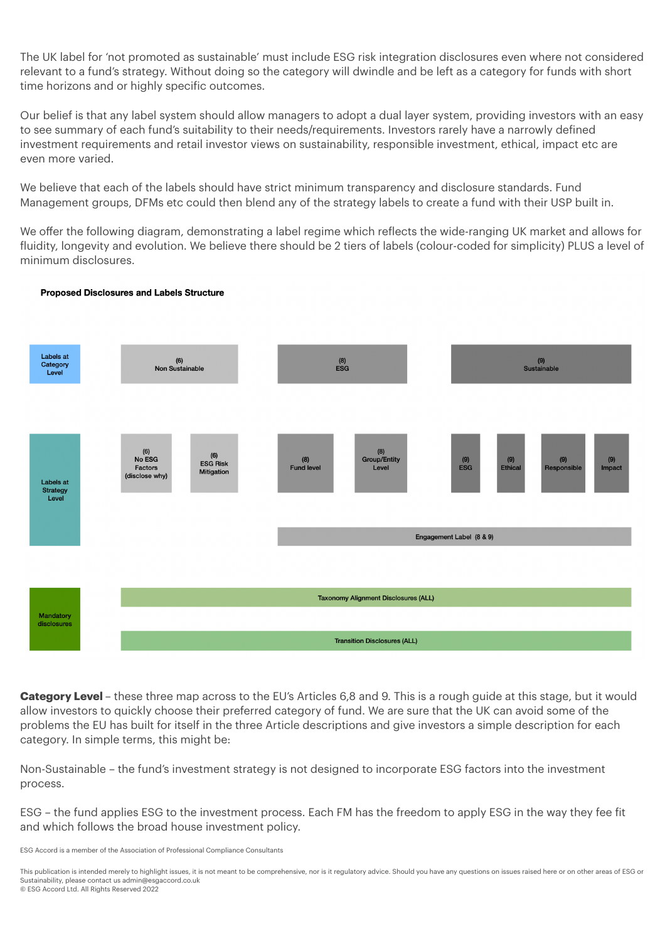The UK label for 'not promoted as sustainable' must include ESG risk integration disclosures even where not considered relevant to a fund's strategy. Without doing so the category will dwindle and be left as a category for funds with short time horizons and or highly specific outcomes.

Our belief is that any label system should allow managers to adopt a dual layer system, providing investors with an easy to see summary of each fund's suitability to their needs/requirements. Investors rarely have a narrowly defined investment requirements and retail investor views on sustainability, responsible investment, ethical, impact etc are even more varied.

We believe that each of the labels should have strict minimum transparency and disclosure standards. Fund Management groups, DFMs etc could then blend any of the strategy labels to create a fund with their USP built in.

We offer the following diagram, demonstrating a label regime which reflects the wide-ranging UK market and allows for fluidity, longevity and evolution. We believe there should be 2 tiers of labels (colour-coded for simplicity) PLUS a level of minimum disclosures.

#### **Proposed Disclosures and Labels Structure**



**Category Level** – these three map across to the EU's Articles 6,8 and 9. This is a rough guide at this stage, but it would allow investors to quickly choose their preferred category of fund. We are sure that the UK can avoid some of the problems the EU has built for itself in the three Article descriptions and give investors a simple description for each category. In simple terms, this might be:

Non-Sustainable – the fund's investment strategy is not designed to incorporate ESG factors into the investment process.

ESG – the fund applies ESG to the investment process. Each FM has the freedom to apply ESG in the way they fee fit and which follows the broad house investment policy.

ESG Accord is a member of the Association of Professional Compliance Consultants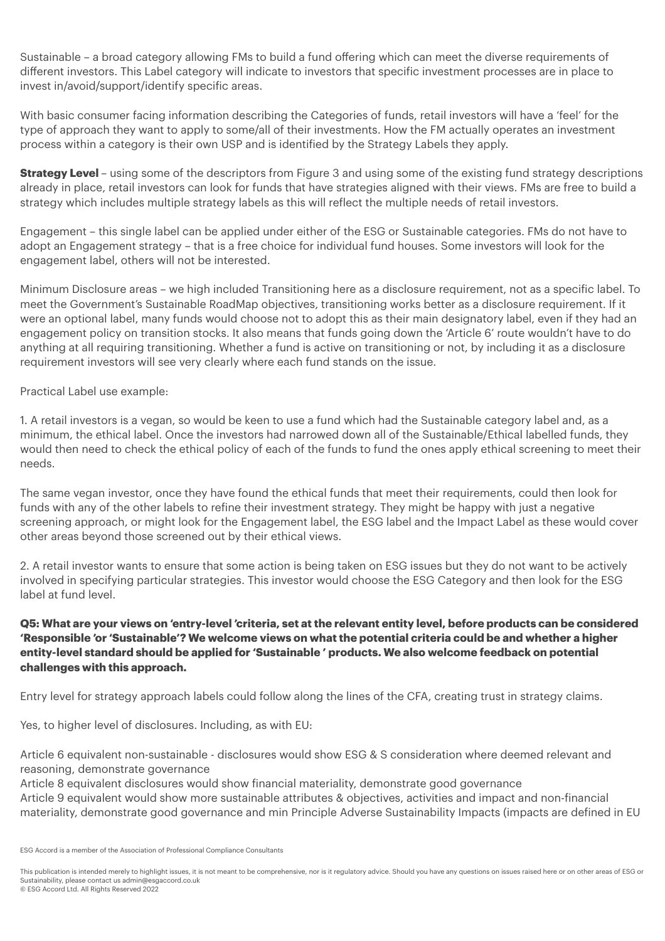Sustainable – a broad category allowing FMs to build a fund offering which can meet the diverse requirements of different investors. This Label category will indicate to investors that specific investment processes are in place to invest in/avoid/support/identify specific areas.

With basic consumer facing information describing the Categories of funds, retail investors will have a 'feel' for the type of approach they want to apply to some/all of their investments. How the FM actually operates an investment process within a category is their own USP and is identified by the Strategy Labels they apply.

**Strategy Level** – using some of the descriptors from Figure 3 and using some of the existing fund strategy descriptions already in place, retail investors can look for funds that have strategies aligned with their views. FMs are free to build a strategy which includes multiple strategy labels as this will reflect the multiple needs of retail investors.

Engagement – this single label can be applied under either of the ESG or Sustainable categories. FMs do not have to adopt an Engagement strategy – that is a free choice for individual fund houses. Some investors will look for the engagement label, others will not be interested.

Minimum Disclosure areas – we high included Transitioning here as a disclosure requirement, not as a specific label. To meet the Government's Sustainable RoadMap objectives, transitioning works better as a disclosure requirement. If it were an optional label, many funds would choose not to adopt this as their main designatory label, even if they had an engagement policy on transition stocks. It also means that funds going down the 'Article 6' route wouldn't have to do anything at all requiring transitioning. Whether a fund is active on transitioning or not, by including it as a disclosure requirement investors will see very clearly where each fund stands on the issue.

Practical Label use example:

1. A retail investors is a vegan, so would be keen to use a fund which had the Sustainable category label and, as a minimum, the ethical label. Once the investors had narrowed down all of the Sustainable/Ethical labelled funds, they would then need to check the ethical policy of each of the funds to fund the ones apply ethical screening to meet their needs.

The same vegan investor, once they have found the ethical funds that meet their requirements, could then look for funds with any of the other labels to refine their investment strategy. They might be happy with just a negative screening approach, or might look for the Engagement label, the ESG label and the Impact Label as these would cover other areas beyond those screened out by their ethical views.

2. A retail investor wants to ensure that some action is being taken on ESG issues but they do not want to be actively involved in specifying particular strategies. This investor would choose the ESG Category and then look for the ESG label at fund level.

### **Q5: What are your views on 'entry-level 'criteria, set at the relevant entity level, before products can be considered 'Responsible 'or 'Sustainable'? We welcome views on what the potential criteria could be and whether a higher entity-level standard should be applied for 'Sustainable ' products. We also welcome feedback on potential challenges with this approach.**

Entry level for strategy approach labels could follow along the lines of the CFA, creating trust in strategy claims.

Yes, to higher level of disclosures. Including, as with EU:

Article 6 equivalent non-sustainable - disclosures would show ESG & S consideration where deemed relevant and reasoning, demonstrate governance

Article 8 equivalent disclosures would show financial materiality, demonstrate good governance Article 9 equivalent would show more sustainable attributes & objectives, activities and impact and non-financial materiality, demonstrate good governance and min Principle Adverse Sustainability Impacts (impacts are defined in EU

ESG Accord is a member of the Association of Professional Compliance Consultants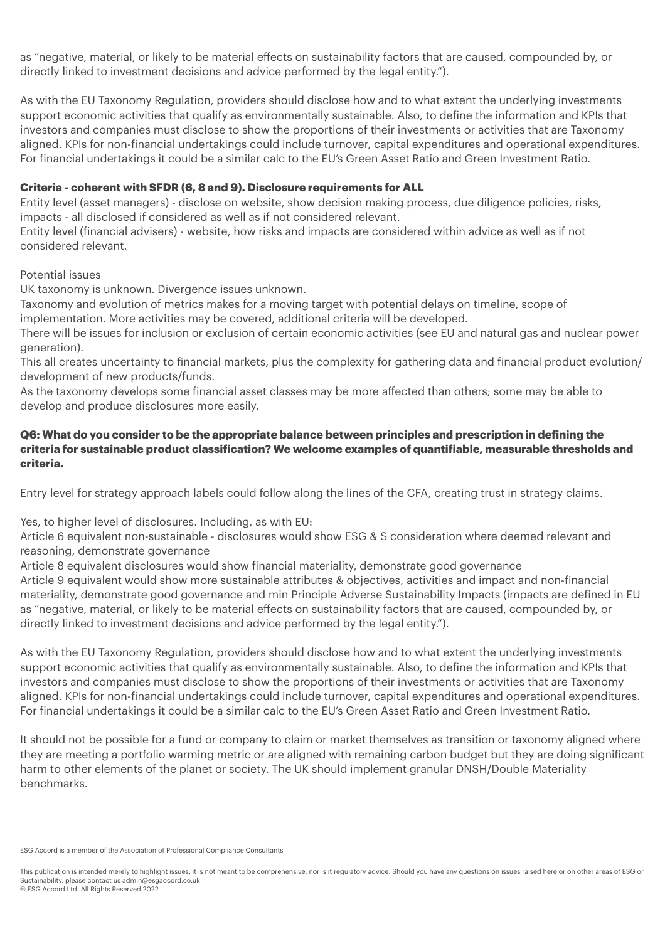as "negative, material, or likely to be material effects on sustainability factors that are caused, compounded by, or directly linked to investment decisions and advice performed by the legal entity.").

As with the EU Taxonomy Regulation, providers should disclose how and to what extent the underlying investments support economic activities that qualify as environmentally sustainable. Also, to define the information and KPIs that investors and companies must disclose to show the proportions of their investments or activities that are Taxonomy aligned. KPIs for non-financial undertakings could include turnover, capital expenditures and operational expenditures. For financial undertakings it could be a similar calc to the EU's Green Asset Ratio and Green Investment Ratio.

#### **Criteria - coherent with SFDR (6, 8 and 9). Disclosure requirements for ALL**

Entity level (asset managers) - disclose on website, show decision making process, due diligence policies, risks, impacts - all disclosed if considered as well as if not considered relevant.

Entity level (financial advisers) - website, how risks and impacts are considered within advice as well as if not considered relevant.

#### Potential issues

UK taxonomy is unknown. Divergence issues unknown.

Taxonomy and evolution of metrics makes for a moving target with potential delays on timeline, scope of implementation. More activities may be covered, additional criteria will be developed.

There will be issues for inclusion or exclusion of certain economic activities (see EU and natural gas and nuclear power generation).

This all creates uncertainty to financial markets, plus the complexity for gathering data and financial product evolution/ development of new products/funds.

As the taxonomy develops some financial asset classes may be more affected than others; some may be able to develop and produce disclosures more easily.

#### **Q6: What do you consider to be the appropriate balance between principles and prescription in defining the criteria for sustainable product classification? We welcome examples of quantifiable, measurable thresholds and criteria.**

Entry level for strategy approach labels could follow along the lines of the CFA, creating trust in strategy claims.

Yes, to higher level of disclosures. Including, as with EU:

Article 6 equivalent non-sustainable - disclosures would show ESG & S consideration where deemed relevant and reasoning, demonstrate governance

Article 8 equivalent disclosures would show financial materiality, demonstrate good governance

Article 9 equivalent would show more sustainable attributes & objectives, activities and impact and non-financial materiality, demonstrate good governance and min Principle Adverse Sustainability Impacts (impacts are defined in EU as "negative, material, or likely to be material effects on sustainability factors that are caused, compounded by, or directly linked to investment decisions and advice performed by the legal entity.").

As with the EU Taxonomy Regulation, providers should disclose how and to what extent the underlying investments support economic activities that qualify as environmentally sustainable. Also, to define the information and KPIs that investors and companies must disclose to show the proportions of their investments or activities that are Taxonomy aligned. KPIs for non-financial undertakings could include turnover, capital expenditures and operational expenditures. For financial undertakings it could be a similar calc to the EU's Green Asset Ratio and Green Investment Ratio.

It should not be possible for a fund or company to claim or market themselves as transition or taxonomy aligned where they are meeting a portfolio warming metric or are aligned with remaining carbon budget but they are doing significant harm to other elements of the planet or society. The UK should implement granular DNSH/Double Materiality benchmarks.

ESG Accord is a member of the Association of Professional Compliance Consultants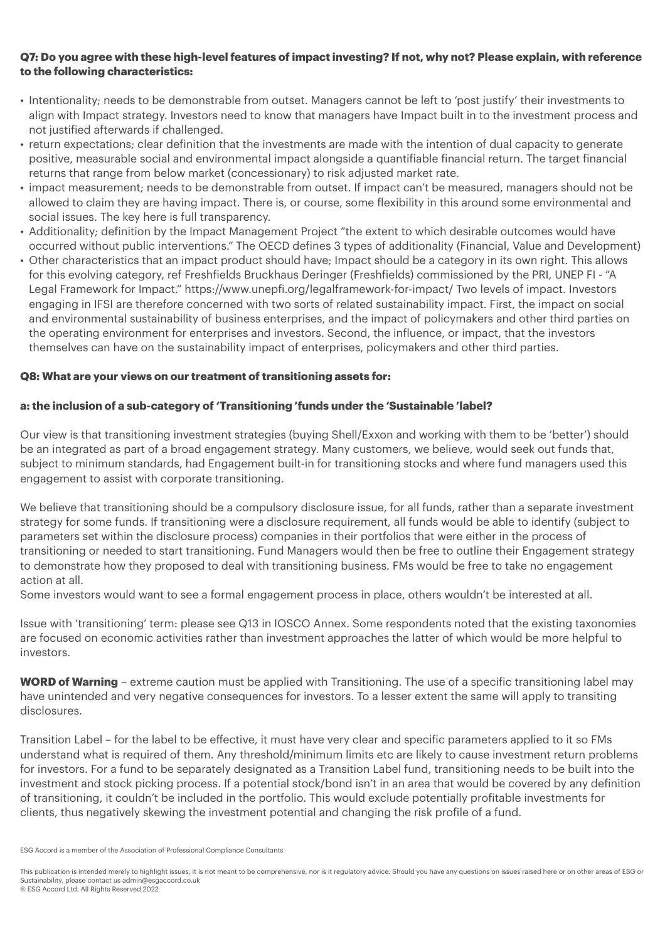### **Q7: Do you agree with these high-level features of impact investing? If not, why not? Please explain, with reference to the following characteristics:**

- Intentionality; needs to be demonstrable from outset. Managers cannot be left to 'post justify' their investments to align with Impact strategy. Investors need to know that managers have Impact built in to the investment process and not justified afterwards if challenged.
- return expectations; clear definition that the investments are made with the intention of dual capacity to generate positive, measurable social and environmental impact alongside a quantifiable financial return. The target financial returns that range from below market (concessionary) to risk adjusted market rate.
- impact measurement; needs to be demonstrable from outset. If impact can't be measured, managers should not be allowed to claim they are having impact. There is, or course, some flexibility in this around some environmental and social issues. The key here is full transparency.
- Additionality; definition by the Impact Management Project "the extent to which desirable outcomes would have occurred without public interventions." The OECD defines 3 types of additionality (Financial, Value and Development)
- Other characteristics that an impact product should have; Impact should be a category in its own right. This allows for this evolving category, ref Freshfields Bruckhaus Deringer (Freshfields) commissioned by the PRI, UNEP FI - "A Legal Framework for Impact." https://www.unepfi.org/legalframework-for-impact/ Two levels of impact. Investors engaging in IFSI are therefore concerned with two sorts of related sustainability impact. First, the impact on social and environmental sustainability of business enterprises, and the impact of policymakers and other third parties on the operating environment for enterprises and investors. Second, the influence, or impact, that the investors themselves can have on the sustainability impact of enterprises, policymakers and other third parties.

#### **Q8: What are your views on our treatment of transitioning assets for:**

#### **a: the inclusion of a sub-category of 'Transitioning 'funds under the 'Sustainable 'label?**

Our view is that transitioning investment strategies (buying Shell/Exxon and working with them to be 'better') should be an integrated as part of a broad engagement strategy. Many customers, we believe, would seek out funds that, subject to minimum standards, had Engagement built-in for transitioning stocks and where fund managers used this engagement to assist with corporate transitioning.

We believe that transitioning should be a compulsory disclosure issue, for all funds, rather than a separate investment strategy for some funds. If transitioning were a disclosure requirement, all funds would be able to identify (subject to parameters set within the disclosure process) companies in their portfolios that were either in the process of transitioning or needed to start transitioning. Fund Managers would then be free to outline their Engagement strategy to demonstrate how they proposed to deal with transitioning business. FMs would be free to take no engagement action at all.

Some investors would want to see a formal engagement process in place, others wouldn't be interested at all.

Issue with 'transitioning' term: please see Q13 in IOSCO Annex. Some respondents noted that the existing taxonomies are focused on economic activities rather than investment approaches the latter of which would be more helpful to investors.

**WORD of Warning** – extreme caution must be applied with Transitioning. The use of a specific transitioning label may have unintended and very negative consequences for investors. To a lesser extent the same will apply to transiting disclosures.

Transition Label – for the label to be effective, it must have very clear and specific parameters applied to it so FMs understand what is required of them. Any threshold/minimum limits etc are likely to cause investment return problems for investors. For a fund to be separately designated as a Transition Label fund, transitioning needs to be built into the investment and stock picking process. If a potential stock/bond isn't in an area that would be covered by any definition of transitioning, it couldn't be included in the portfolio. This would exclude potentially profitable investments for clients, thus negatively skewing the investment potential and changing the risk profile of a fund.

ESG Accord is a member of the Association of Professional Compliance Consultants

This publication is intended merely to highlight issues, it is not meant to be comprehensive, nor is it regulatory advice. Should you have any questions on issues raised here or on other areas of ESG or Sustainability, please contact us [admin@esgaccord.co.uk](mailto:admin@esgaccord.co.uk) © ESG Accord Ltd. All Rights Reserved 2022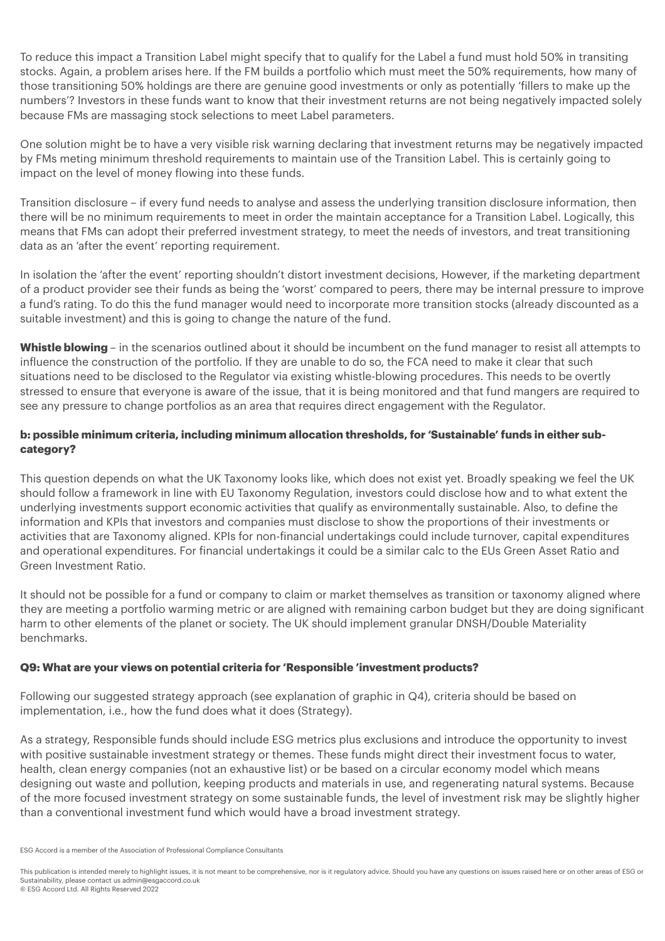To reduce this impact a Transition Label might specify that to qualify for the Label a fund must hold 50% in transiting stocks. Again, a problem arises here. If the FM builds a portfolio which must meet the 50% requirements, how many of those transitioning 50% holdings are there are genuine good investments or only as potentially 'fillers to make up the numbers'? Investors in these funds want to know that their investment returns are not being negatively impacted solely because FMs are massaging stock selections to meet Label parameters.

One solution might be to have a very visible risk warning declaring that investment returns may be negatively impacted by FMs meting minimum threshold requirements to maintain use of the Transition Label. This is certainly going to impact on the level of money flowing into these funds.

Transition disclosure – if every fund needs to analyse and assess the underlying transition disclosure information, then there will be no minimum requirements to meet in order the maintain acceptance for a Transition Label. Logically, this means that FMs can adopt their preferred investment strategy, to meet the needs of investors, and treat transitioning data as an 'after the event' reporting requirement.

In isolation the 'after the event' reporting shouldn't distort investment decisions, However, if the marketing department of a product provider see their funds as being the 'worst' compared to peers, there may be internal pressure to improve a fund's rating. To do this the fund manager would need to incorporate more transition stocks (already discounted as a suitable investment) and this is going to change the nature of the fund.

Whistle blowing – in the scenarios outlined about it should be incumbent on the fund manager to resist all attempts to influence the construction of the portfolio. If they are unable to do so, the FCA need to make it clear that such situations need to be disclosed to the Regulator via existing whistle-blowing procedures. This needs to be overtly stressed to ensure that everyone is aware of the issue, that it is being monitored and that fund mangers are required to see any pressure to change portfolios as an area that requires direct engagement with the Regulator.

# **b: possible minimum criteria, including minimum allocation thresholds, for 'Sustainable' funds in either subcategory?**

This question depends on what the UK Taxonomy looks like, which does not exist yet. Broadly speaking we feel the UK should follow a framework in line with EU Taxonomy Regulation, investors could disclose how and to what extent the underlying investments support economic activities that qualify as environmentally sustainable. Also, to define the information and KPIs that investors and companies must disclose to show the proportions of their investments or activities that are Taxonomy aligned. KPIs for non-financial undertakings could include turnover, capital expenditures and operational expenditures. For financial undertakings it could be a similar calc to the EUs Green Asset Ratio and Green Investment Ratio.

It should not be possible for a fund or company to claim or market themselves as transition or taxonomy aligned where they are meeting a portfolio warming metric or are aligned with remaining carbon budget but they are doing significant harm to other elements of the planet or society. The UK should implement granular DNSH/Double Materiality benchmarks.

# **Q9: What are your views on potential criteria for 'Responsible 'investment products?**

Following our suggested strategy approach (see explanation of graphic in Q4), criteria should be based on implementation, i.e., how the fund does what it does (Strategy).

As a strategy, Responsible funds should include ESG metrics plus exclusions and introduce the opportunity to invest with positive sustainable investment strategy or themes. These funds might direct their investment focus to water, health, clean energy companies (not an exhaustive list) or be based on a circular economy model which means designing out waste and pollution, keeping products and materials in use, and regenerating natural systems. Because of the more focused investment strategy on some sustainable funds, the level of investment risk may be slightly higher than a conventional investment fund which would have a broad investment strategy.

ESG Accord is a member of the Association of Professional Compliance Consultants

This publication is intended merely to highlight issues, it is not meant to be comprehensive, nor is it regulatory advice. Should you have any questions on issues raised here or on other areas of ESG or Sustainability, please contact us [admin@esgaccord.co.uk](mailto:admin@esgaccord.co.uk) © ESG Accord Ltd. All Rights Reserved 2022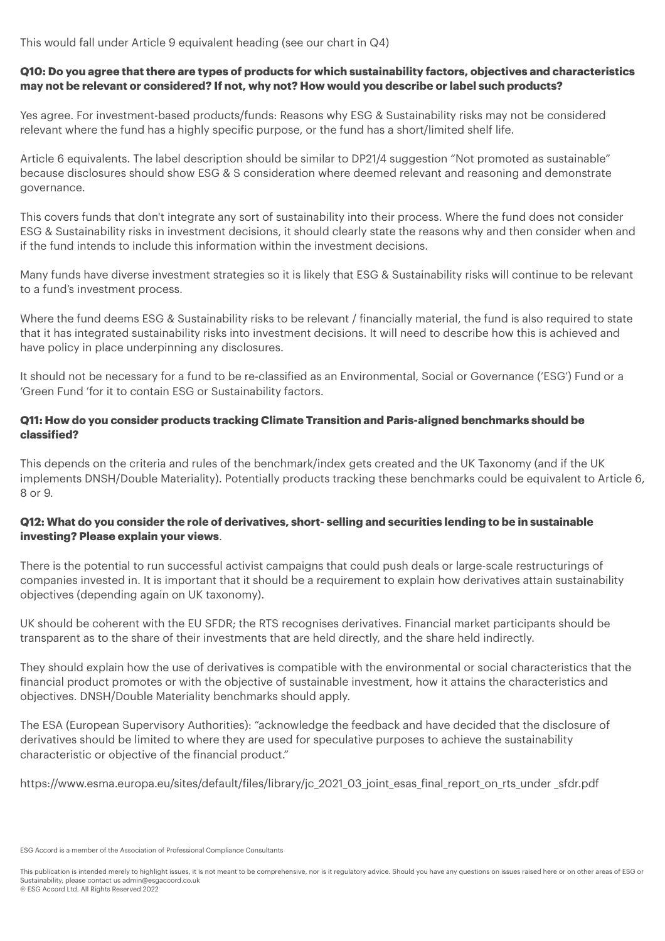This would fall under Article 9 equivalent heading (see our chart in Q4)

### **Q10: Do you agree that there are types of products for which sustainability factors, objectives and characteristics may not be relevant or considered? If not, why not? How would you describe or label such products?**

Yes agree. For investment-based products/funds: Reasons why ESG & Sustainability risks may not be considered relevant where the fund has a highly specific purpose, or the fund has a short/limited shelf life.

Article 6 equivalents. The label description should be similar to DP21/4 suggestion "Not promoted as sustainable" because disclosures should show ESG & S consideration where deemed relevant and reasoning and demonstrate governance.

This covers funds that don't integrate any sort of sustainability into their process. Where the fund does not consider ESG & Sustainability risks in investment decisions, it should clearly state the reasons why and then consider when and if the fund intends to include this information within the investment decisions.

Many funds have diverse investment strategies so it is likely that ESG & Sustainability risks will continue to be relevant to a fund's investment process.

Where the fund deems ESG & Sustainability risks to be relevant / financially material, the fund is also required to state that it has integrated sustainability risks into investment decisions. It will need to describe how this is achieved and have policy in place underpinning any disclosures.

It should not be necessary for a fund to be re-classified as an Environmental, Social or Governance ('ESG') Fund or a 'Green Fund 'for it to contain ESG or Sustainability factors.

# **Q11: How do you consider products tracking Climate Transition and Paris-aligned benchmarks should be classified?**

This depends on the criteria and rules of the benchmark/index gets created and the UK Taxonomy (and if the UK implements DNSH/Double Materiality). Potentially products tracking these benchmarks could be equivalent to Article 6, 8 or 9.

# **Q12: What do you consider the role of derivatives, short- selling and securities lending to be in sustainable investing? Please explain your views**.

There is the potential to run successful activist campaigns that could push deals or large-scale restructurings of companies invested in. It is important that it should be a requirement to explain how derivatives attain sustainability objectives (depending again on UK taxonomy).

UK should be coherent with the EU SFDR; the RTS recognises derivatives. Financial market participants should be transparent as to the share of their investments that are held directly, and the share held indirectly.

They should explain how the use of derivatives is compatible with the environmental or social characteristics that the financial product promotes or with the objective of sustainable investment, how it attains the characteristics and objectives. DNSH/Double Materiality benchmarks should apply.

The ESA (European Supervisory Authorities): "acknowledge the feedback and have decided that the disclosure of derivatives should be limited to where they are used for speculative purposes to achieve the sustainability characteristic or objective of the financial product."

https://www.esma.europa.eu/sites/default/files/library/jc\_2021\_03\_joint\_esas\_final\_report\_on\_rts\_under \_sfdr.pdf

ESG Accord is a member of the Association of Professional Compliance Consultants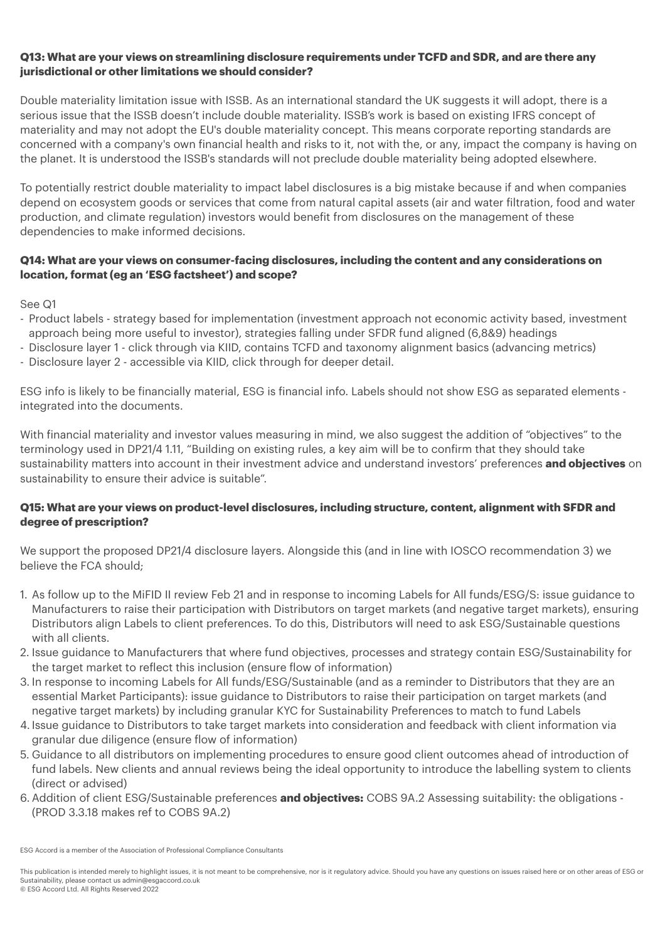#### **Q13: What are your views on streamlining disclosure requirements under TCFD and SDR, and are there any jurisdictional or other limitations we should consider?**

Double materiality limitation issue with ISSB. As an international standard the UK suggests it will adopt, there is a serious issue that the ISSB doesn't include double materiality. ISSB's work is based on existing IFRS concept of materiality and may not adopt the EU's double materiality concept. This means corporate reporting standards are concerned with a company's own financial health and risks to it, not with the, or any, impact the company is having on the planet. It is understood the ISSB's standards will not preclude double materiality being adopted elsewhere.

To potentially restrict double materiality to impact label disclosures is a big mistake because if and when companies depend on ecosystem goods or services that come from natural capital assets (air and water filtration, food and water production, and climate regulation) investors would benefit from disclosures on the management of these dependencies to make informed decisions.

### **Q14: What are your views on consumer-facing disclosures, including the content and any considerations on location, format (eg an 'ESG factsheet') and scope?**

See Q1

- Product labels strategy based for implementation (investment approach not economic activity based, investment approach being more useful to investor), strategies falling under SFDR fund aligned (6,8&9) headings
- Disclosure layer 1 click through via KIID, contains TCFD and taxonomy alignment basics (advancing metrics)
- Disclosure layer 2 accessible via KIID, click through for deeper detail.

ESG info is likely to be financially material, ESG is financial info. Labels should not show ESG as separated elements integrated into the documents.

With financial materiality and investor values measuring in mind, we also suggest the addition of "objectives" to the terminology used in DP21/4 1.11, "Building on existing rules, a key aim will be to confirm that they should take sustainability matters into account in their investment advice and understand investors' preferences **and objectives** on sustainability to ensure their advice is suitable".

# **Q15: What are your views on product-level disclosures, including structure, content, alignment with SFDR and degree of prescription?**

We support the proposed DP21/4 disclosure layers. Alongside this (and in line with IOSCO recommendation 3) we believe the FCA should;

- 1. As follow up to the MiFID II review Feb 21 and in response to incoming Labels for All funds/ESG/S: issue guidance to Manufacturers to raise their participation with Distributors on target markets (and negative target markets), ensuring Distributors align Labels to client preferences. To do this, Distributors will need to ask ESG/Sustainable questions with all clients.
- 2. Issue guidance to Manufacturers that where fund objectives, processes and strategy contain ESG/Sustainability for the target market to reflect this inclusion (ensure flow of information)
- 3. In response to incoming Labels for All funds/ESG/Sustainable (and as a reminder to Distributors that they are an essential Market Participants): issue guidance to Distributors to raise their participation on target markets (and negative target markets) by including granular KYC for Sustainability Preferences to match to fund Labels
- 4. Issue guidance to Distributors to take target markets into consideration and feedback with client information via granular due diligence (ensure flow of information)
- 5. Guidance to all distributors on implementing procedures to ensure good client outcomes ahead of introduction of fund labels. New clients and annual reviews being the ideal opportunity to introduce the labelling system to clients (direct or advised)
- 6. Addition of client ESG/Sustainable preferences **and objectives:** COBS 9A.2 Assessing suitability: the obligations (PROD 3.3.18 makes ref to COBS 9A.2)

ESG Accord is a member of the Association of Professional Compliance Consultants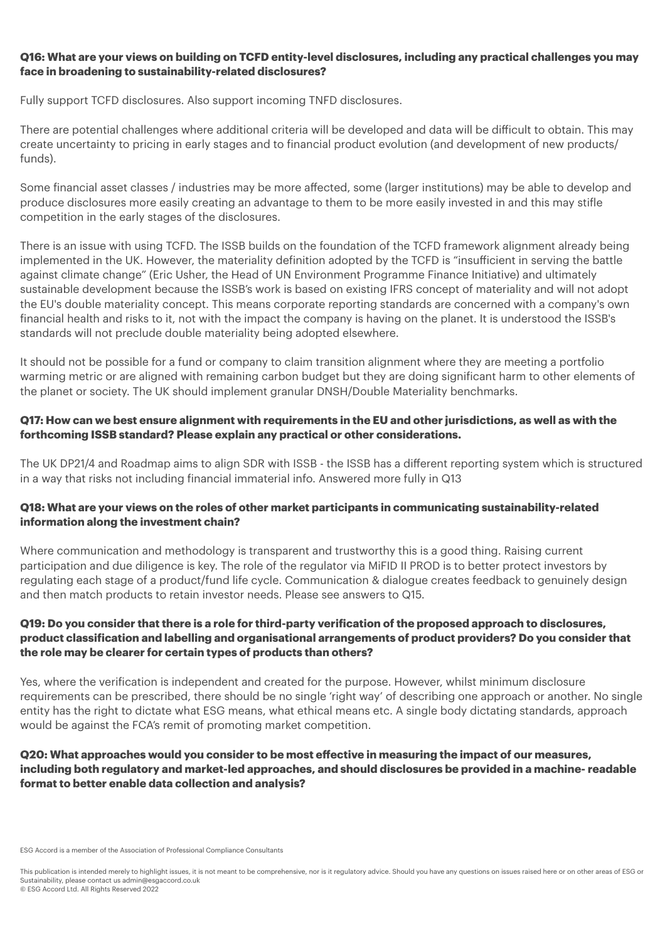#### **Q16: What are your views on building on TCFD entity-level disclosures, including any practical challenges you may face in broadening to sustainability-related disclosures?**

Fully support TCFD disclosures. Also support incoming TNFD disclosures.

There are potential challenges where additional criteria will be developed and data will be difficult to obtain. This may create uncertainty to pricing in early stages and to financial product evolution (and development of new products/ funds).

Some financial asset classes / industries may be more affected, some (larger institutions) may be able to develop and produce disclosures more easily creating an advantage to them to be more easily invested in and this may stifle competition in the early stages of the disclosures.

There is an issue with using TCFD. The ISSB builds on the foundation of the TCFD framework alignment already being implemented in the UK. However, the materiality definition adopted by the TCFD is "insufficient in serving the battle against climate change" (Eric Usher, the Head of UN Environment Programme Finance Initiative) and ultimately sustainable development because the ISSB's work is based on existing IFRS concept of materiality and will not adopt the EU's double materiality concept. This means corporate reporting standards are concerned with a company's own financial health and risks to it, not with the impact the company is having on the planet. It is understood the ISSB's standards will not preclude double materiality being adopted elsewhere.

It should not be possible for a fund or company to claim transition alignment where they are meeting a portfolio warming metric or are aligned with remaining carbon budget but they are doing significant harm to other elements of the planet or society. The UK should implement granular DNSH/Double Materiality benchmarks.

# **Q17: How can we best ensure alignment with requirements in the EU and other jurisdictions, as well as with the forthcoming ISSB standard? Please explain any practical or other considerations.**

The UK DP21/4 and Roadmap aims to align SDR with ISSB - the ISSB has a different reporting system which is structured in a way that risks not including financial immaterial info. Answered more fully in Q13

# **Q18: What are your views on the roles of other market participants in communicating sustainability-related information along the investment chain?**

Where communication and methodology is transparent and trustworthy this is a good thing. Raising current participation and due diligence is key. The role of the regulator via MiFID II PROD is to better protect investors by regulating each stage of a product/fund life cycle. Communication & dialogue creates feedback to genuinely design and then match products to retain investor needs. Please see answers to Q15.

# **Q19: Do you consider that there is a role for third-party verification of the proposed approach to disclosures, product classification and labelling and organisational arrangements of product providers? Do you consider that the role may be clearer for certain types of products than others?**

Yes, where the verification is independent and created for the purpose. However, whilst minimum disclosure requirements can be prescribed, there should be no single 'right way' of describing one approach or another. No single entity has the right to dictate what ESG means, what ethical means etc. A single body dictating standards, approach would be against the FCA's remit of promoting market competition.

# **Q20: What approaches would you consider to be most effective in measuring the impact of our measures, including both regulatory and market-led approaches, and should disclosures be provided in a machine- readable format to better enable data collection and analysis?**

ESG Accord is a member of the Association of Professional Compliance Consultants